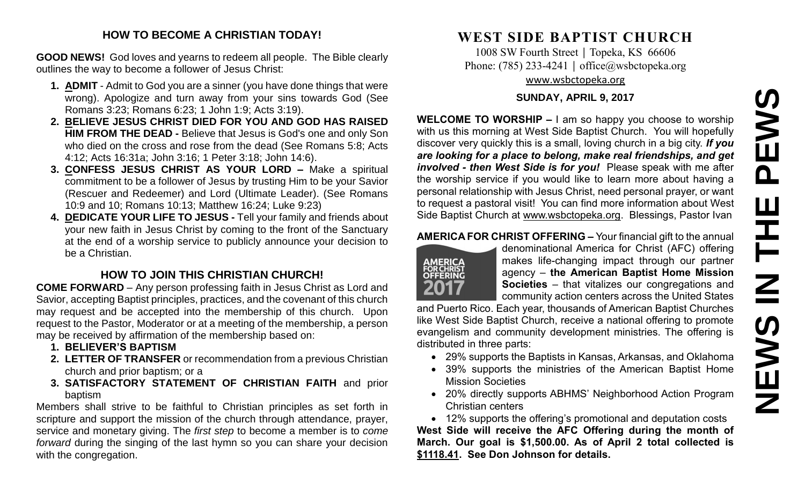#### **HOW TO BECOME A CHRISTIAN TODAY!**

**GOOD NEWS!** God loves and yearns to redeem all people. The Bible clearly outlines the way to become a follower of Jesus Christ:

- **1. ADMIT** Admit to God you are a sinner (you have done things that were wrong). Apologize and turn away from your sins towards God (See Romans 3:23; Romans 6:23; 1 John 1:9; Acts 3:19).
- **2. BELIEVE JESUS CHRIST DIED FOR YOU AND GOD HAS RAISED HIM FROM THE DEAD -** Believe that Jesus is God's one and only Son who died on the cross and rose from the dead (See Romans 5:8; Acts 4:12; Acts 16:31a; John 3:16; 1 Peter 3:18; John 14:6).
- **3. CONFESS JESUS CHRIST AS YOUR LORD –** Make a spiritual commitment to be a follower of Jesus by trusting Him to be your Savior (Rescuer and Redeemer) and Lord (Ultimate Leader). (See Romans 10:9 and 10; Romans 10:13; Matthew 16:24; Luke 9:23)
- **4. DEDICATE YOUR LIFE TO JESUS -** Tell your family and friends about your new faith in Jesus Christ by coming to the front of the Sanctuary at the end of a worship service to publicly announce your decision to be a Christian.

### **HOW TO JOIN THIS CHRISTIAN CHURCH!**

**COME FORWARD** – Any person professing faith in Jesus Christ as Lord and Savior, accepting Baptist principles, practices, and the covenant of this church may request and be accepted into the membership of this church. Upon request to the Pastor, Moderator or at a meeting of the membership, a person may be received by affirmation of the membership based on:

- **1. BELIEVER'S BAPTISM**
- **2. LETTER OF TRANSFER** or recommendation from a previous Christian church and prior baptism; or a
- **3. SATISFACTORY STATEMENT OF CHRISTIAN FAITH** and prior baptism

Members shall strive to be faithful to Christian principles as set forth in scripture and support the mission of the church through attendance, prayer, service and monetary giving. The *first step* to become a member is to *come forward* during the singing of the last hymn so you can share your decision with the congregation.

# **WEST SIDE BAPTIST CHURCH**

1008 SW Fourth Street | Topeka, KS 66606 Phone: (785) 233-4241 │ [office@wsbctopeka.org](mailto:office@wsbctopeka.org) [www.wsbctopeka.org](http://www.wsbctopeka.org/)

#### **SUNDAY, APRIL 9, 2017**

**WELCOME TO WORSHIP –** I am so happy you choose to worship with us this morning at West Side Baptist Church. You will hopefully discover very quickly this is a small, loving church in a big city. *If you are looking for a place to belong, make real friendships, and get involved - then West Side is for you!* Please speak with me after the worship service if you would like to learn more about having a personal relationship with Jesus Christ, need personal prayer, or want to request a pastoral visit! You can find more information about West Side Baptist Church at [www.wsbctopeka.org.](http://www.wsbctopeka.org/) Blessings, Pastor Ivan

#### **AMERICA FOR CHRIST OFFERING –** Your financial gift to the annual



denominational America for Christ (AFC) offering makes life-changing impact through our partner agency – **the American Baptist Home Mission Societies** – that vitalizes our congregations and community action centers across the United States

and Puerto Rico. Each year, thousands of American Baptist Churches like West Side Baptist Church, receive a national offering to promote evangelism and community development ministries. The offering is distributed in three parts:

- 29% supports the Baptists in Kansas, Arkansas, and Oklahoma
- 39% supports the ministries of the American Baptist Home Mission Societies
- 20% directly supports ABHMS' Neighborhood Action Program Christian centers

• 12% supports the offering's promotional and deputation costs

**West Side will receive the AFC Offering during the month of March. Our goal is \$1,500.00. As of April 2 total collected is \$1118.41. See Don Johnson for details.**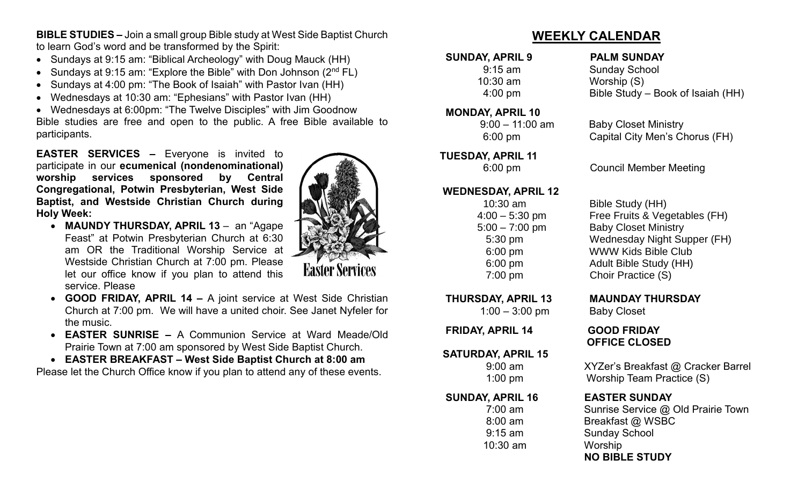**BIBLE STUDIES –** Join a small group Bible study at West Side Baptist Church to learn God's word and be transformed by the Spirit:

- Sundays at 9:15 am: "Biblical Archeology" with Doug Mauck (HH)
- Sundays at 9:15 am: "Explore the Bible" with Don Johnson  $(2^{nd} FL)$
- Sundays at 4:00 pm: "The Book of Isaiah" with Pastor Ivan (HH)
- Wednesdays at 10:30 am: "Ephesians" with Pastor Ivan (HH)

• Wednesdays at 6:00pm: "The Twelve Disciples" with Jim Goodnow Bible studies are free and open to the public. A free Bible available to participants.

**EASTER SERVICES –** Everyone is invited to participate in our **ecumenical (nondenominational) worship services sponsored by Central Congregational, Potwin Presbyterian, West Side Baptist, and Westside Christian Church during Holy Week:**

- **MAUNDY THURSDAY, APRIL 13** an "Agape Feast" at Potwin Presbyterian Church at 6:30 am OR the Traditional Worship Service at Westside Christian Church at 7:00 pm. Please let our office know if you plan to attend this service. Please
- **GOOD FRIDAY, APRIL 14 –** A joint service at West Side Christian Church at 7:00 pm. We will have a united choir. See Janet Nyfeler for the music.
- **EASTER SUNRISE –** A Communion Service at Ward Meade/Old Prairie Town at 7:00 am sponsored by West Side Baptist Church.
- **EASTER BREAKFAST – West Side Baptist Church at 8:00 am**

Please let the Church Office know if you plan to attend any of these events.



#### **MONDAY, APRIL 10**

#### **TUESDAY, APRIL 11**

#### **WEDNESDAY, APRIL 12**

1:00 – 3:00 pm Baby Closet

**FRIDAY, APRIL 14 GOOD FRIDAY**

#### **SATURDAY, APRIL 15**

#### **SUNDAY, APRIL 16 EASTER SUNDAY**

10:30 am Worship

#### **SUNDAY, APRIL 9 PALM SUNDAY**

9:15 am Sunday School 10:30 am Worship (S) 4:00 pm Bible Study – Book of Isaiah (HH)

#### 9:00 – 11:00 am Baby Closet Ministry 6:00 pm Capital City Men's Chorus (FH)

6:00 pm Council Member Meeting

 10:30 am Bible Study (HH) 4:00 – 5:30 pm Free Fruits & Vegetables (FH) 5:00 – 7:00 pm Baby Closet Ministry 5:30 pm Wednesday Night Supper (FH) 6:00 pm WWW Kids Bible Club 6:00 pm Adult Bible Study (HH) 7:00 pm Choir Practice (S)

#### **THURSDAY, APRIL 13 MAUNDAY THURSDAY**

# **OFFICE CLOSED**

 9:00 am XYZer's Breakfast @ Cracker Barrel 1:00 pm Worship Team Practice (S)

 7:00 am Sunrise Service @ Old Prairie Town 8:00 am Breakfast @ WSBC 9:15 am Sunday School  **NO BIBLE STUDY** 

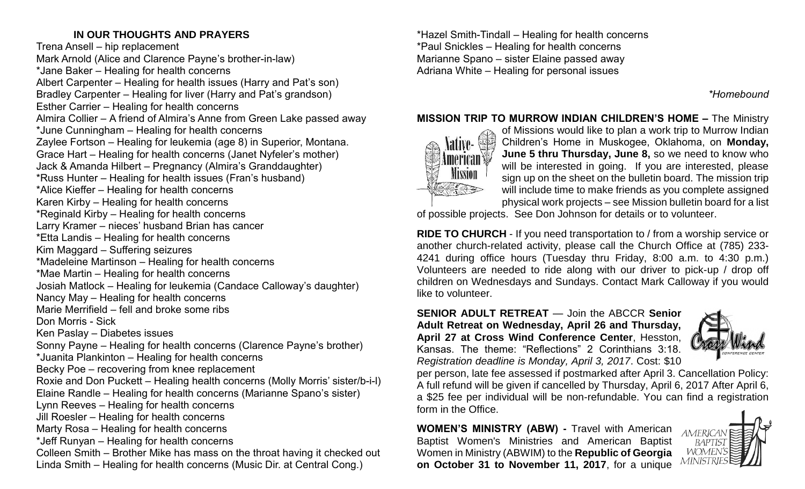### **IN OUR THOUGHTS AND PRAYERS**

Trena Ansell – hip replacement Mark Arnold (Alice and Clarence Payne's brother-in-law) \*Jane Baker – Healing for health concerns Albert Carpenter – Healing for health issues (Harry and Pat's son) Bradley Carpenter – Healing for liver (Harry and Pat's grandson) Esther Carrier – Healing for health concerns Almira Collier – A friend of Almira's Anne from Green Lake passed away \*June Cunningham – Healing for health concerns Zaylee Fortson – Healing for leukemia (age 8) in Superior, Montana. Grace Hart – Healing for health concerns (Janet Nyfeler's mother) Jack & Amanda Hilbert – Pregnancy (Almira's Granddaughter) \*Russ Hunter – Healing for health issues (Fran's husband) \*Alice Kieffer – Healing for health concerns Karen Kirby – Healing for health concerns \*Reginald Kirby – Healing for health concerns Larry Kramer – nieces' husband Brian has cancer \*Etta Landis – Healing for health concerns Kim Maggard – Suffering seizures \*Madeleine Martinson – Healing for health concerns \*Mae Martin – Healing for health concerns Josiah Matlock – Healing for leukemia (Candace Calloway's daughter) Nancy May – Healing for health concerns Marie Merrifield – fell and broke some ribs Don Morris - Sick Ken Paslay – Diabetes issues Sonny Payne – Healing for health concerns (Clarence Payne's brother) \*Juanita Plankinton – Healing for health concerns Becky Poe – recovering from knee replacement Roxie and Don Puckett – Healing health concerns (Molly Morris' sister/b-i-l) Elaine Randle – Healing for health concerns (Marianne Spano's sister) Lynn Reeves – Healing for health concerns Jill Roesler – Healing for health concerns Marty Rosa – Healing for health concerns \*Jeff Runyan – Healing for health concerns Colleen Smith – Brother Mike has mass on the throat having it checked out Linda Smith – Healing for health concerns (Music Dir. at Central Cong.)

\*Hazel Smith-Tindall – Healing for health concerns \*Paul Snickles – Healing for health concerns Marianne Spano – sister Elaine passed away Adriana White – Healing for personal issues

*\*Homebound*

#### **MISSION TRIP TO MURROW INDIAN CHILDREN'S HOME –** The Ministry



of Missions would like to plan a work trip to Murrow Indian Children's Home in Muskogee, Oklahoma, on **Monday, June 5 thru Thursday, June 8,** so we need to know who will be interested in going. If you are interested, please sign up on the sheet on the bulletin board. The mission trip will include time to make friends as you complete assigned physical work projects – see Mission bulletin board for a list

of possible projects. See Don Johnson for details or to volunteer.

**RIDE TO CHURCH** - If you need transportation to / from a worship service or another church-related activity, please call the Church Office at (785) 233- 4241 during office hours (Tuesday thru Friday, 8:00 a.m. to 4:30 p.m.) Volunteers are needed to ride along with our driver to pick-up / drop off children on Wednesdays and Sundays. Contact Mark Calloway if you would like to volunteer.

**SENIOR ADULT RETREAT** — Join the ABCCR **Senior Adult Retreat on Wednesday, April 26 and Thursday, April 27 at Cross Wind Conference Center**, Hesston, Kansas. The theme: "Reflections" 2 Corinthians 3:18. *Registration deadline is Monday, April 3, 2017*. Cost: \$10



per person, late fee assessed if postmarked after April 3. Cancellation Policy: A full refund will be given if cancelled by Thursday, April 6, 2017 After April 6, a \$25 fee per individual will be non-refundable. You can find a registration form in the Office.

**WOMEN'S MINISTRY (ABW) -** Travel with American Baptist Women's Ministries and American Baptist Women in Ministry (ABWIM) to the **Republic of Georgia on October 31 to November 11, 2017**, for a unique